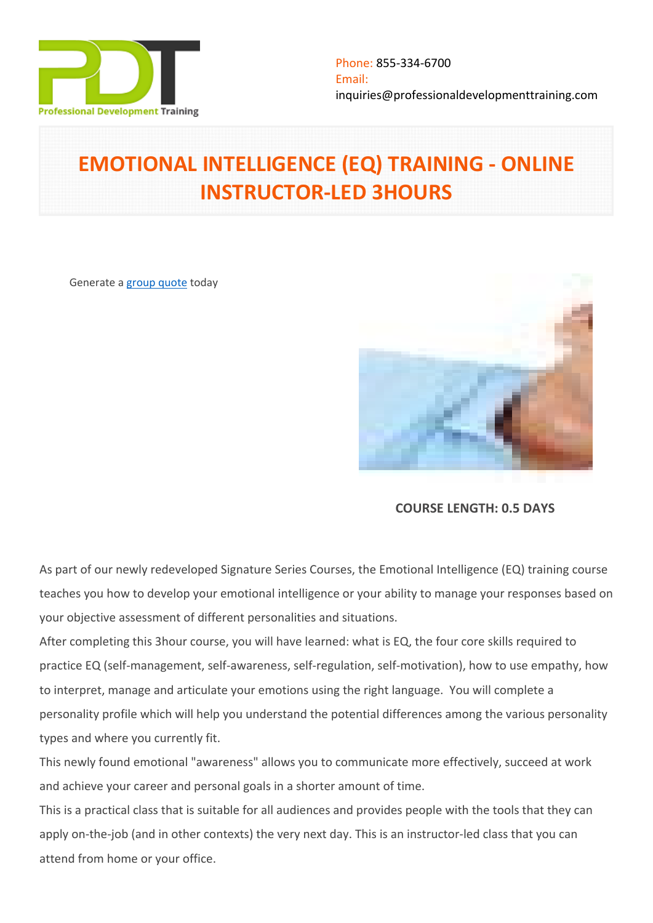

# **EMOTIONAL INTELLIGENCE (EQ) TRAINING - ONLINE INSTRUCTOR-LED 3HOURS**

Generate a [group quote](https://professionaldevelopmenttraining.com/inhouse-training-quote?cse=PDTE4245_C) today



**COURSE LENGTH: 0.5 DAYS**

As part of our newly redeveloped Signature Series Courses, the Emotional Intelligence (EQ) training course teaches you how to develop your emotional intelligence or your ability to manage your responses based on your objective assessment of different personalities and situations.

After completing this 3hour course, you will have learned: what is EQ, the four core skills required to practice EQ (self-management, self-awareness, self-regulation, self-motivation), how to use empathy, how to interpret, manage and articulate your emotions using the right language. You will complete a personality profile which will help you understand the potential differences among the various personality types and where you currently fit.

This newly found emotional "awareness" allows you to communicate more effectively, succeed at work and achieve your career and personal goals in a shorter amount of time.

This is a practical class that is suitable for all audiences and provides people with the tools that they can apply on-the-job (and in other contexts) the very next day. This is an instructor-led class that you can attend from home or your office.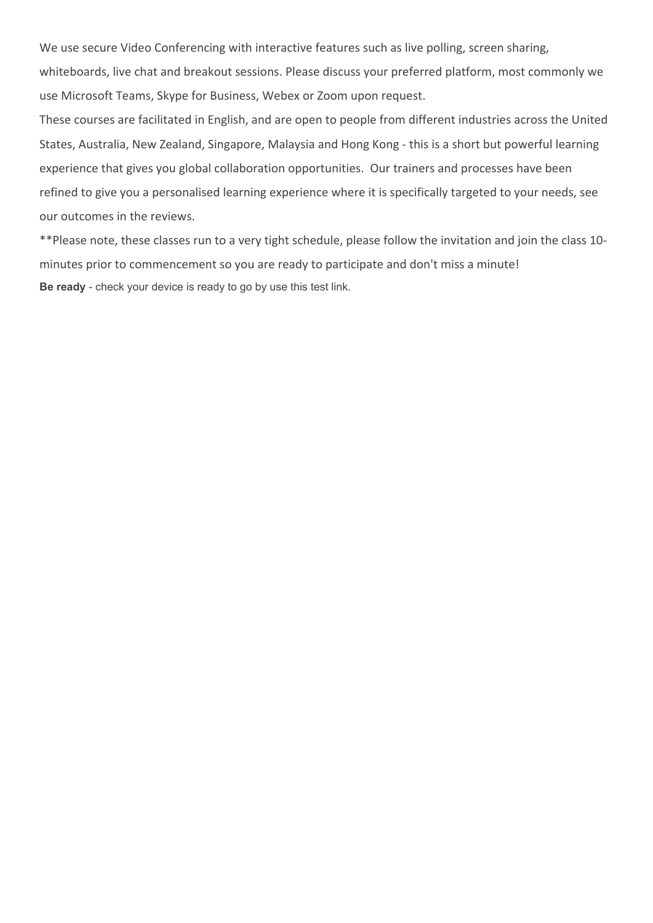We use secure Video Conferencing with interactive features such as live polling, screen sharing,

whiteboards, live chat and breakout sessions. Please discuss your preferred platform, most commonly we use Microsoft Teams, Skype for Business, Webex or Zoom upon request.

These courses are facilitated in English, and are open to people from different industries across the United States, Australia, New Zealand, Singapore, Malaysia and Hong Kong - this is a short but powerful learning experience that gives you global collaboration opportunities. Our trainers and processes have been refined to give you a personalised learning experience where it is specifically targeted to your needs, see our outcomes in the reviews.

\*\*Please note, these classes run to a very tight schedule, please follow the invitation and join the class 10 minutes prior to commencement so you are ready to participate and don't miss a minute! **Be ready** - check your device is ready to go by use this [test link](https://zoom.us/test).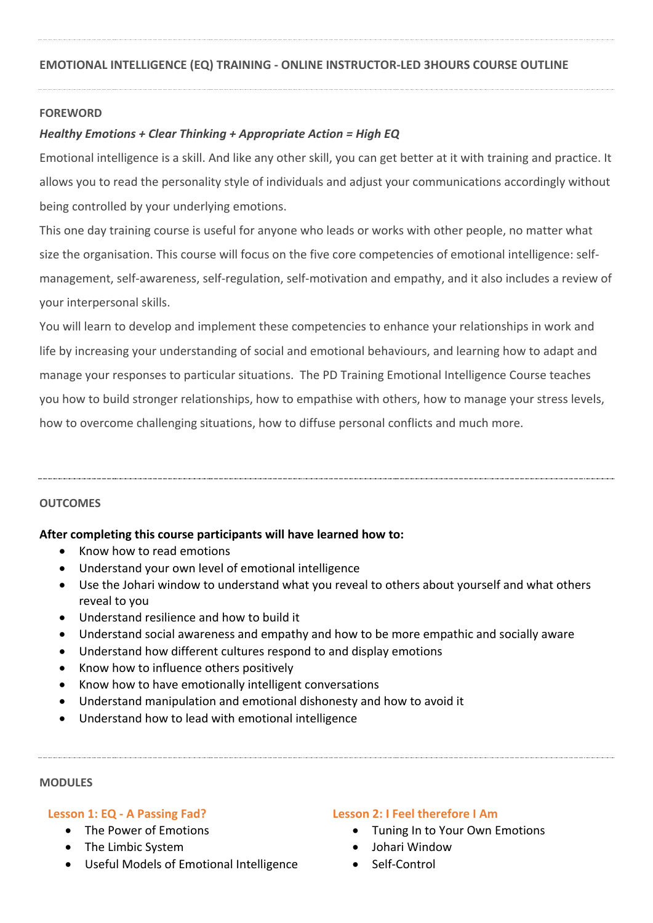## **FOREWORD**

# *Healthy Emotions + Clear Thinking + Appropriate Action = High EQ*

Emotional intelligence is a skill. And like any other skill, you can get better at it with training and practice. It allows you to read the personality style of individuals and adjust your communications accordingly without being controlled by your underlying emotions.

This one day training course is useful for anyone who leads or works with other people, no matter what size the organisation. This course will focus on the five core competencies of emotional intelligence: selfmanagement, self-awareness, self-regulation, self-motivation and empathy, and it also includes a review of your interpersonal skills.

You will learn to develop and implement these competencies to enhance your relationships in work and life by increasing your understanding of social and emotional behaviours, and learning how to adapt and manage your responses to particular situations. The PD Training Emotional Intelligence Course teaches you how to build stronger relationships, how to empathise with others, how to manage your stress levels, how to overcome challenging situations, how to diffuse personal conflicts and much more.

## **OUTCOMES**

## **After completing this course participants will have learned how to:**

- Know how to read emotions
- Understand your own level of emotional intelligence
- Use the Johari window to understand what you reveal to others about yourself and what others reveal to you
- Understand resilience and how to build it
- Understand social awareness and empathy and how to be more empathic and socially aware
- Understand how different cultures respond to and display emotions
- Know how to influence others positively
- Know how to have emotionally intelligent conversations
- Understand manipulation and emotional dishonesty and how to avoid it
- Understand how to lead with emotional intelligence

#### **MODULES**

## **Lesson 1: EQ - A Passing Fad?**

- The Power of Emotions
- The Limbic System
- Useful Models of Emotional Intelligence

### **Lesson 2: I Feel therefore I Am**

- Tuning In to Your Own Emotions
- Johari Window
- Self-Control